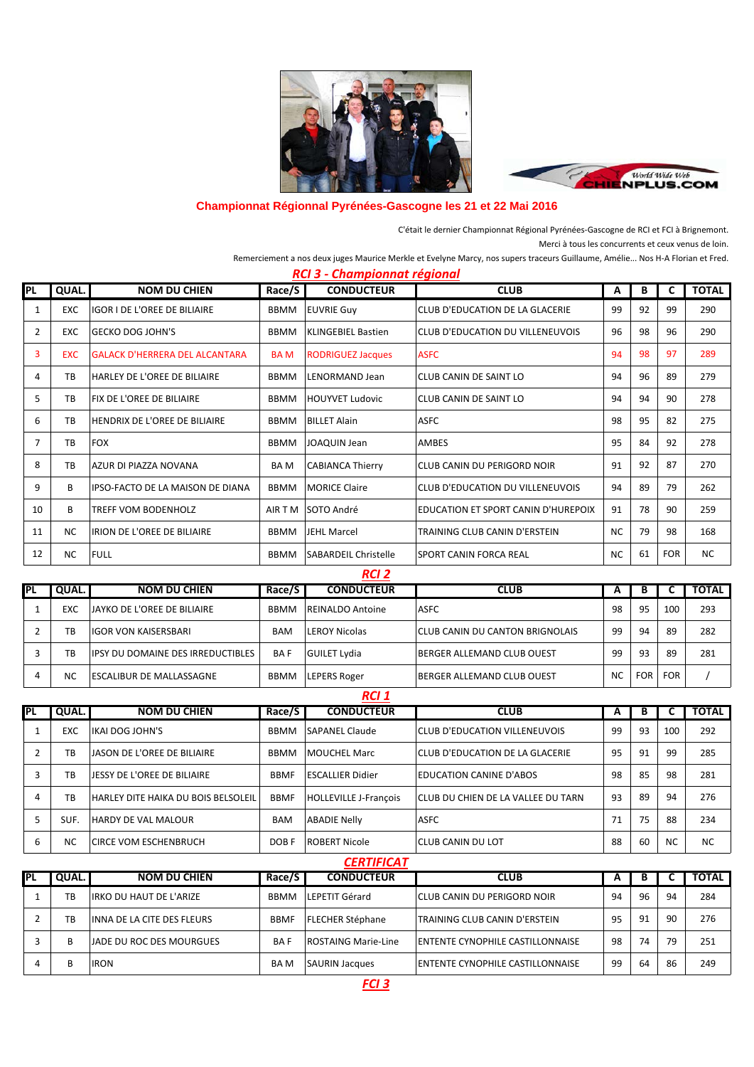



## **Championnat Régionnal Pyrénées-Gascogne les 21 et 22 Mai 2016**

C'était le dernier Championnat Régional Pyrénées-Gascogne de RCI et FCI à Brignemont. Merci à tous les concurrents et ceux venus de loin.

Remerciement a nos deux juges Maurice Merkle et Evelyne Marcy, nos supers traceurs Guillaume, Amélie... Nos H-A Florian et Fred.

| RCI 3 - Championnat régional |            |                                       |             |                             |                                        |           |    |            |              |  |  |
|------------------------------|------------|---------------------------------------|-------------|-----------------------------|----------------------------------------|-----------|----|------------|--------------|--|--|
| <b>PL</b>                    | QUAL.      | <b>NOM DU CHIEN</b>                   | Race/S      | <b>CONDUCTEUR</b>           | <b>CLUB</b><br>A                       |           | В  | C          | <b>TOTAL</b> |  |  |
| 1                            | EXC        | IGOR I DE L'OREE DE BILIAIRE          | <b>BBMM</b> | <b>EUVRIE Guy</b>           | CLUB D'EDUCATION DE LA GLACERIE        | 99        | 92 | 99         | 290          |  |  |
| $\overline{2}$               | <b>EXC</b> | <b>GECKO DOG JOHN'S</b>               | <b>BBMM</b> | <b>KLINGEBIEL Bastien</b>   | 96<br>CLUB D'EDUCATION DU VILLENEUVOIS |           | 98 | 96         | 290          |  |  |
| 3                            | <b>EXC</b> | <b>GALACK D'HERRERA DEL ALCANTARA</b> | <b>BAM</b>  | <b>RODRIGUEZ Jacques</b>    | 94<br><b>ASFC</b>                      |           | 98 | 97         | 289          |  |  |
| 4                            | TB         | HARLEY DE L'OREE DE BILIAIRE          | <b>BBMM</b> | LENORMAND Jean              | 94<br><b>CLUB CANIN DE SAINT LO</b>    |           | 96 | 89         | 279          |  |  |
| 5                            | TB         | <b>FIX DE L'OREE DE BILIAIRE</b>      | <b>BBMM</b> | HOUYVET Ludovic             | 94<br>CLUB CANIN DE SAINT LO           |           | 94 | 90         | 278          |  |  |
| 6                            | <b>TB</b>  | <b>HENDRIX DE L'OREE DE BILIAIRE</b>  | <b>BBMM</b> | <b>BILLET Alain</b>         | <b>ASFC</b>                            | 98        | 95 | 82         | 275          |  |  |
| 7                            | TB         | <b>FOX</b>                            | <b>BBMM</b> | <b>JOAQUIN Jean</b>         | 95<br>AMBES                            |           | 84 | 92         | 278          |  |  |
| 8                            | TB         | AZUR DI PIAZZA NOVANA                 | <b>BAM</b>  | <b>CABIANCA Thierry</b>     | CLUB CANIN DU PERIGORD NOIR            | 91        | 92 | 87         | 270          |  |  |
| 9                            | В          | IIPSO-FACTO DE LA MAISON DE DIANA     | <b>BBMM</b> | <b>MORICE Claire</b>        | CLUB D'EDUCATION DU VILLENEUVOIS       | 94        | 89 | 79         | 262          |  |  |
| 10                           | B          | <b>TREFF VOM BODENHOLZ</b>            | AIR T M     | SOTO André                  | EDUCATION ET SPORT CANIN D'HUREPOIX    | 91        | 78 | 90         | 259          |  |  |
| 11                           | <b>NC</b>  | IRION DE L'OREE DE BILIAIRE           | <b>BBMM</b> | <b>JEHL Marcel</b>          | TRAINING CLUB CANIN D'ERSTEIN          | <b>NC</b> | 79 | 98         | 168          |  |  |
| 12                           | <b>NC</b>  | <b>FULL</b>                           | BBMM        | <b>SABARDEIL Christelle</b> | <b>SPORT CANIN FORCA REAL</b>          | NC.       | 61 | <b>FOR</b> | <b>NC</b>    |  |  |
| RCI <sub>2</sub>             |            |                                       |             |                             |                                        |           |    |            |              |  |  |

| PL | <b>QUAL.</b> | <b>NOM DU CHIEN</b>                      | Race/S      | <b>CONDUCTEUR</b>       | <b>CLUB</b>                            |           | D          |            | <b>TOTAL</b> |
|----|--------------|------------------------------------------|-------------|-------------------------|----------------------------------------|-----------|------------|------------|--------------|
|    | EXC          | <b>JAYKO DE L'OREE DE BILIAIRE</b>       | <b>BBMM</b> | <b>REINALDO Antoine</b> | ASFC                                   |           | 95         | 100        | 293          |
|    | TB           | <b>IGOR VON KAISERSBARI</b>              | <b>BAM</b>  | <b>LEROY Nicolas</b>    | <b>CLUB CANIN DU CANTON BRIGNOLAIS</b> |           | 94         | 89         | 282          |
|    | TB           | <b>IPSY DU DOMAINE DES IRREDUCTIBLES</b> | <b>BAF</b>  | <b>GUILET Lydia</b>     | <b>BERGER ALLEMAND CLUB OUEST</b>      | 99        | 93         | 89         | 281          |
|    | NC           | <b>ESCALIBUR DE MALLASSAGNE</b>          | <b>BBMM</b> | <b>LEPERS Roger</b>     | <b>BERGER ALLEMAND CLUB OUEST</b>      | <b>NC</b> | <b>FOR</b> | <b>FOR</b> |              |

| RCI 1      |           |                                     |             |                              |                                           |    |    |           |              |  |
|------------|-----------|-------------------------------------|-------------|------------------------------|-------------------------------------------|----|----|-----------|--------------|--|
| <b>IPL</b> | QUAL.     | <b>NOM DU CHIEN</b>                 | Race/S      | <b>CONDUCTEUR</b>            | <b>CLUB</b>                               | A  | В  |           | <b>TOTAL</b> |  |
|            | EXC       | IKAI DOG JOHN'S                     | <b>BBMM</b> | <b>SAPANEL Claude</b>        | <b>CLUB D'EDUCATION VILLENEUVOIS</b>      | 99 | 93 | 100       | 292          |  |
|            | TB        | JASON DE L'OREE DE BILIAIRE         | <b>BBMM</b> | <b>MOUCHEL Marc</b>          | <b>CLUB D'EDUCATION DE LA GLACERIE</b>    | 95 | 91 | 99        | 285          |  |
|            | TB        | JESSY DE L'OREE DE BILIAIRE         | <b>BBMF</b> | <b>ESCALLIER Didier</b>      | <b>EDUCATION CANINE D'ABOS</b>            | 98 | 85 | 98        | 281          |  |
| 4          | TB        | HARLEY DITE HAIKA DU BOIS BELSOLEIL | <b>BBMF</b> | <b>HOLLEVILLE J-François</b> | <b>CLUB DU CHIEN DE LA VALLEE DU TARN</b> | 93 | 89 | 94        | 276          |  |
|            | SUF.      | <b>HARDY DE VAL MALOUR</b>          | <b>BAM</b>  | <b>ABADIE Nelly</b>          | <b>ASFC</b>                               | 71 | 75 | 88        | 234          |  |
| 6          | <b>NC</b> | <b>ICIRCE VOM ESCHENBRUCH</b>       | DOB F       | <b>ROBERT Nicole</b>         | <b>ICLUB CANIN DU LOT</b>                 | 88 | 60 | <b>NC</b> | <b>NC</b>    |  |

*CERTIFICAT*

| PL | QUAL. | <b>NOM DU CHIEN</b>            | Race/S      | <b>CONDUCTEUR</b>       | <b>CLUB</b>                             |    | D  |     | <b>TOTAL</b> |  |  |
|----|-------|--------------------------------|-------------|-------------------------|-----------------------------------------|----|----|-----|--------------|--|--|
|    | TB    | <b>IRKO DU HAUT DE L'ARIZE</b> | <b>BBMM</b> | LEPETIT Gérard          | ICLUB CANIN DU PERIGORD NOIR            | 94 | 96 | 94  | 284          |  |  |
|    | TB    | INNA DE LA CITE DES FLEURS     | <b>BBMF</b> | <b>FLECHER Stéphane</b> | TRAINING CLUB CANIN D'ERSTEIN           | 95 | 91 | -90 | 276          |  |  |
|    | B     | IJADE DU ROC DES MOURGUES      | <b>BAF</b>  | ROSTAING Marie-Line     | <b>ENTENTE CYNOPHILE CASTILLONNAISE</b> | 98 | 74 | 79  | 251          |  |  |
| 4  | B     | <b>IRON</b>                    | BA M        | <b>SAURIN Jacques</b>   | ENTENTE CYNOPHILE CASTILLONNAISE        | 99 | 64 | 86  | 249          |  |  |
|    | FCI 3 |                                |             |                         |                                         |    |    |     |              |  |  |